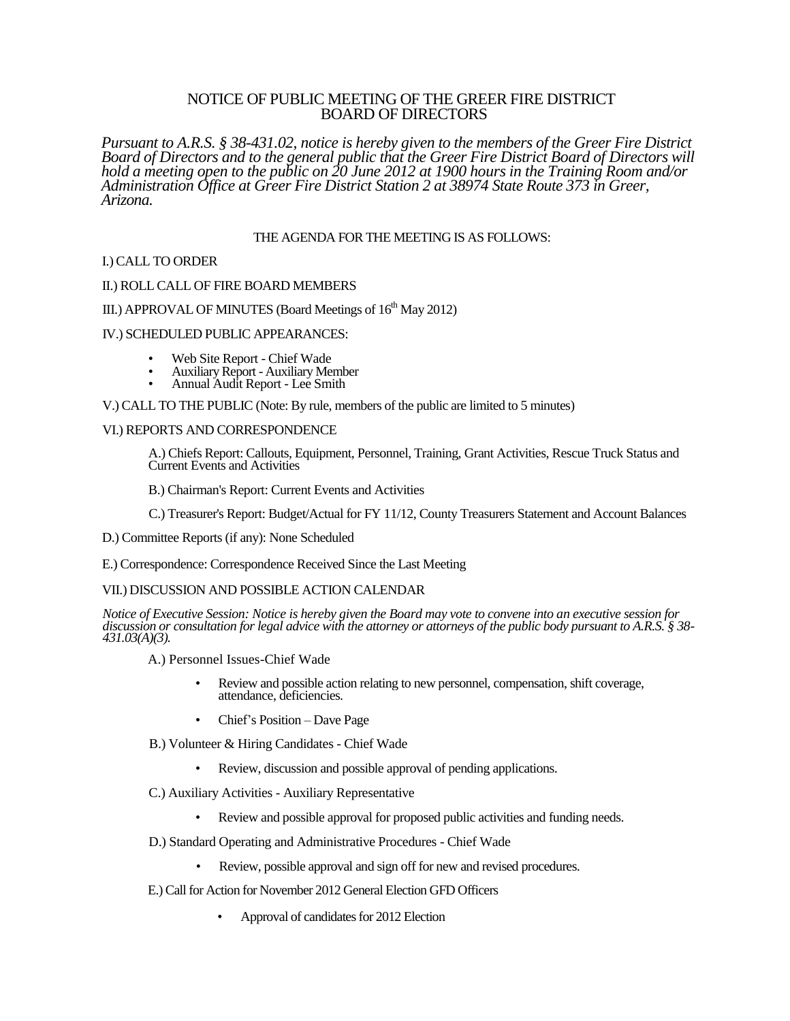## NOTICE OF PUBLIC MEETING OF THE GREER FIRE DISTRICT BOARD OF DIRECTORS

*Pursuant to A.R.S. § 38-431.02, notice is hereby given to the members of the Greer Fire District Board of Directors and to the general public that the Greer Fire District Board of Directors will hold a meeting open to the public on 20 June 2012 at 1900 hours in the Training Room and/or Administration Office at Greer Fire District Station 2 at 38974 State Route 373 in Greer, Arizona.*

### THE AGENDA FOR THE MEETING IS AS FOLLOWS:

### I.) CALL TO ORDER

### II.) ROLL CALL OF FIRE BOARD MEMBERS

# III.) APPROVAL OF MINUTES (Board Meetings of  $16<sup>th</sup>$  May 2012)

### IV.) SCHEDULED PUBLIC APPEARANCES:

- Web Site Report Chief Wade
- Auxiliary Report Auxiliary Member
- Annual Audit Report Lee Smith

V.) CALL TO THE PUBLIC (Note: By rule, members of the public are limited to 5 minutes)

### VI.) REPORTS AND CORRESPONDENCE

A.) Chiefs Report: Callouts, Equipment, Personnel, Training, Grant Activities, Rescue Truck Status and Current Events and Activities

B.) Chairman's Report: Current Events and Activities

C.) Treasurer's Report: Budget/Actual for FY 11/12, County Treasurers Statement and Account Balances

D.) Committee Reports (if any): None Scheduled

E.) Correspondence: Correspondence Received Since the Last Meeting

### VII.) DISCUSSION AND POSSIBLE ACTION CALENDAR

*Notice of Executive Session: Notice is hereby given the Board may vote to convene into an executive session for discussion or consultation for legal advice with the attorney or attorneys of the public body pursuant to A.R.S. § 38- 431.03(A)(3).*

A.) Personnel Issues-Chief Wade

- Review and possible action relating to new personnel, compensation, shift coverage, attendance, deficiencies.
- Chief's Position Dave Page
- B.) Volunteer & Hiring Candidates Chief Wade
	- Review, discussion and possible approval of pending applications.

C.) Auxiliary Activities - Auxiliary Representative

- Review and possible approval for proposed public activities and funding needs.
- D.) Standard Operating and Administrative Procedures Chief Wade
	- Review, possible approval and sign off for new and revised procedures.
- E.) Call for Action for November 2012 General Election GFD Officers
	- Approval of candidates for 2012 Election